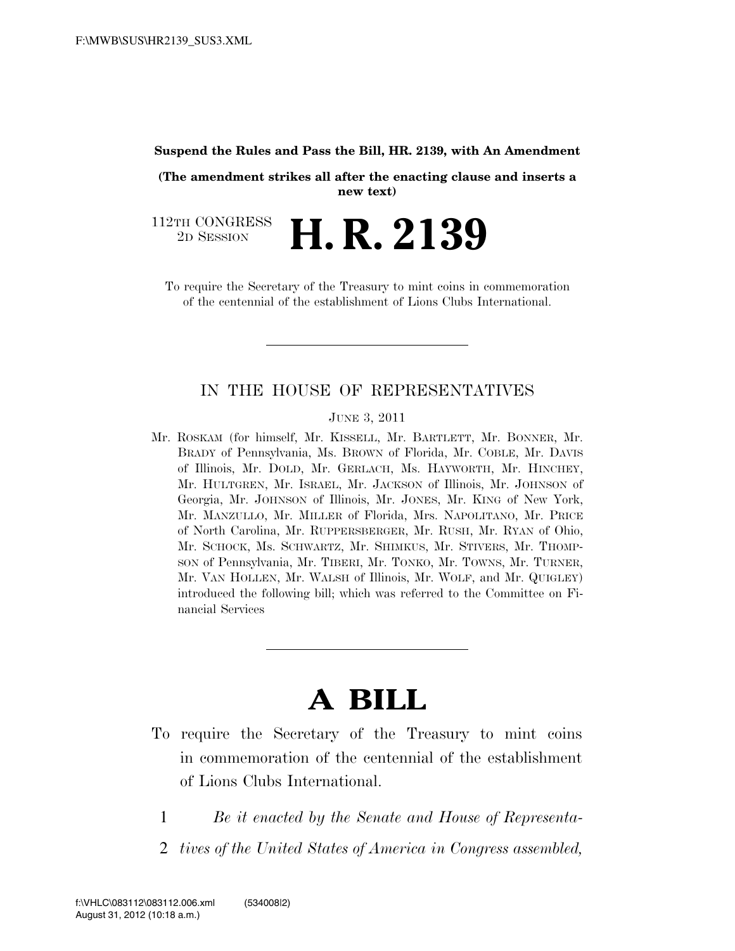#### **Suspend the Rules and Pass the Bill, HR. 2139, with An Amendment**

**(The amendment strikes all after the enacting clause and inserts a new text)**

112TH CONGRESS<br>2D SESSION 2D SESSION **H. R. 2139**

To require the Secretary of the Treasury to mint coins in commemoration of the centennial of the establishment of Lions Clubs International.

## IN THE HOUSE OF REPRESENTATIVES

#### JUNE 3, 2011

Mr. ROSKAM (for himself, Mr. KISSELL, Mr. BARTLETT, Mr. BONNER, Mr. BRADY of Pennsylvania, Ms. BROWN of Florida, Mr. COBLE, Mr. DAVIS of Illinois, Mr. DOLD, Mr. GERLACH, Ms. HAYWORTH, Mr. HINCHEY, Mr. HULTGREN, Mr. ISRAEL, Mr. JACKSON of Illinois, Mr. JOHNSON of Georgia, Mr. JOHNSON of Illinois, Mr. JONES, Mr. KING of New York, Mr. MANZULLO, Mr. MILLER of Florida, Mrs. NAPOLITANO, Mr. PRICE of North Carolina, Mr. RUPPERSBERGER, Mr. RUSH, Mr. RYAN of Ohio, Mr. SCHOCK, Ms. SCHWARTZ, Mr. SHIMKUS, Mr. STIVERS, Mr. THOMP-SON of Pennsylvania, Mr. TIBERI, Mr. TONKO, Mr. TOWNS, Mr. TURNER, Mr. VAN HOLLEN, Mr. WALSH of Illinois, Mr. WOLF, and Mr. QUIGLEY) introduced the following bill; which was referred to the Committee on Financial Services

# **A BILL**

- To require the Secretary of the Treasury to mint coins in commemoration of the centennial of the establishment of Lions Clubs International.
	- 1 *Be it enacted by the Senate and House of Representa-*
	- 2 *tives of the United States of America in Congress assembled,*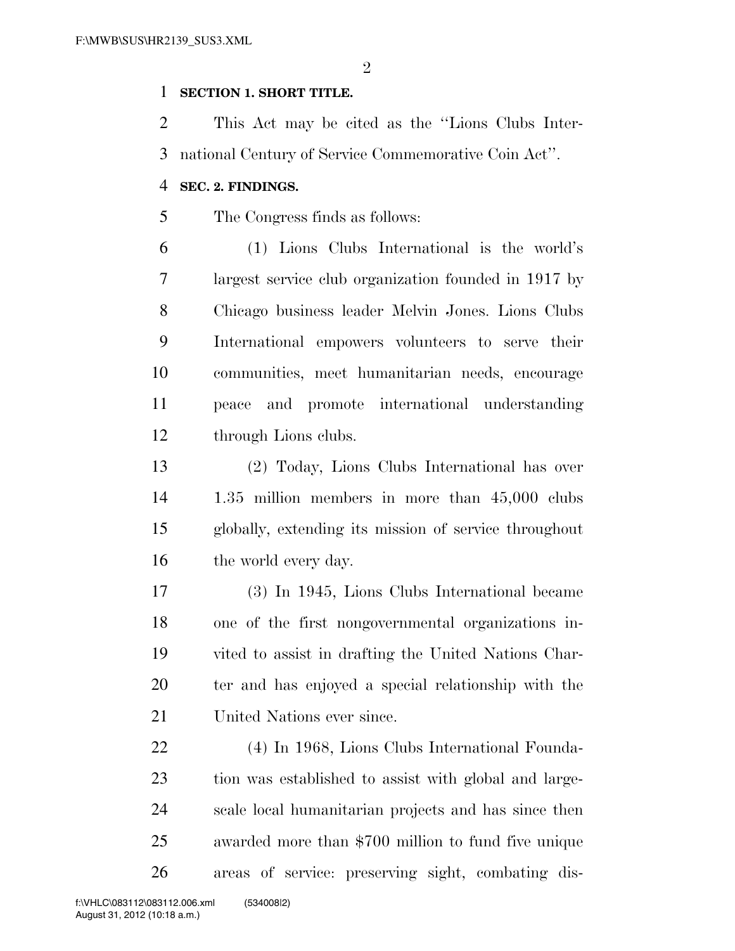$\mathfrak{D}$ 

## **SECTION 1. SHORT TITLE.**

 This Act may be cited as the ''Lions Clubs Inter-national Century of Service Commemorative Coin Act''.

## **SEC. 2. FINDINGS.**

The Congress finds as follows:

 (1) Lions Clubs International is the world's largest service club organization founded in 1917 by Chicago business leader Melvin Jones. Lions Clubs International empowers volunteers to serve their communities, meet humanitarian needs, encourage peace and promote international understanding through Lions clubs.

 (2) Today, Lions Clubs International has over 1.35 million members in more than 45,000 clubs globally, extending its mission of service throughout 16 the world every day.

 (3) In 1945, Lions Clubs International became one of the first nongovernmental organizations in- vited to assist in drafting the United Nations Char- ter and has enjoyed a special relationship with the United Nations ever since.

 (4) In 1968, Lions Clubs International Founda- tion was established to assist with global and large- scale local humanitarian projects and has since then awarded more than \$700 million to fund five unique areas of service: preserving sight, combating dis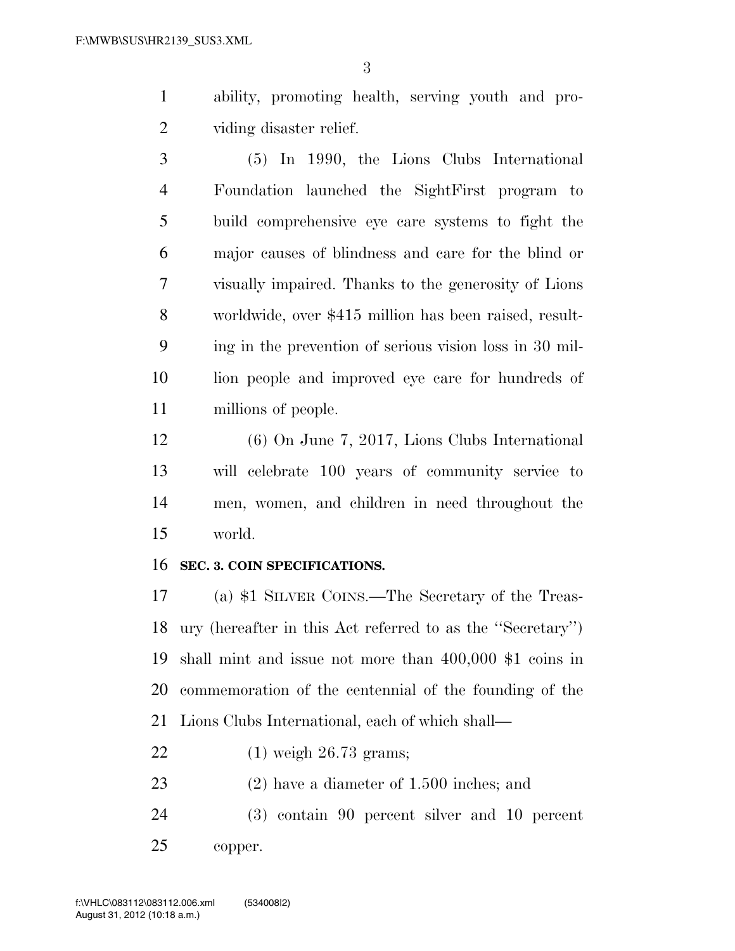ability, promoting health, serving youth and pro-viding disaster relief.

 (5) In 1990, the Lions Clubs International Foundation launched the SightFirst program to build comprehensive eye care systems to fight the major causes of blindness and care for the blind or visually impaired. Thanks to the generosity of Lions worldwide, over \$415 million has been raised, result- ing in the prevention of serious vision loss in 30 mil- lion people and improved eye care for hundreds of millions of people.

 (6) On June 7, 2017, Lions Clubs International will celebrate 100 years of community service to men, women, and children in need throughout the world.

### **SEC. 3. COIN SPECIFICATIONS.**

 (a) \$1 SILVER COINS.—The Secretary of the Treas- ury (hereafter in this Act referred to as the ''Secretary'') shall mint and issue not more than 400,000 \$1 coins in commemoration of the centennial of the founding of the Lions Clubs International, each of which shall—

- (1) weigh 26.73 grams;
- (2) have a diameter of 1.500 inches; and

 (3) contain 90 percent silver and 10 percent copper.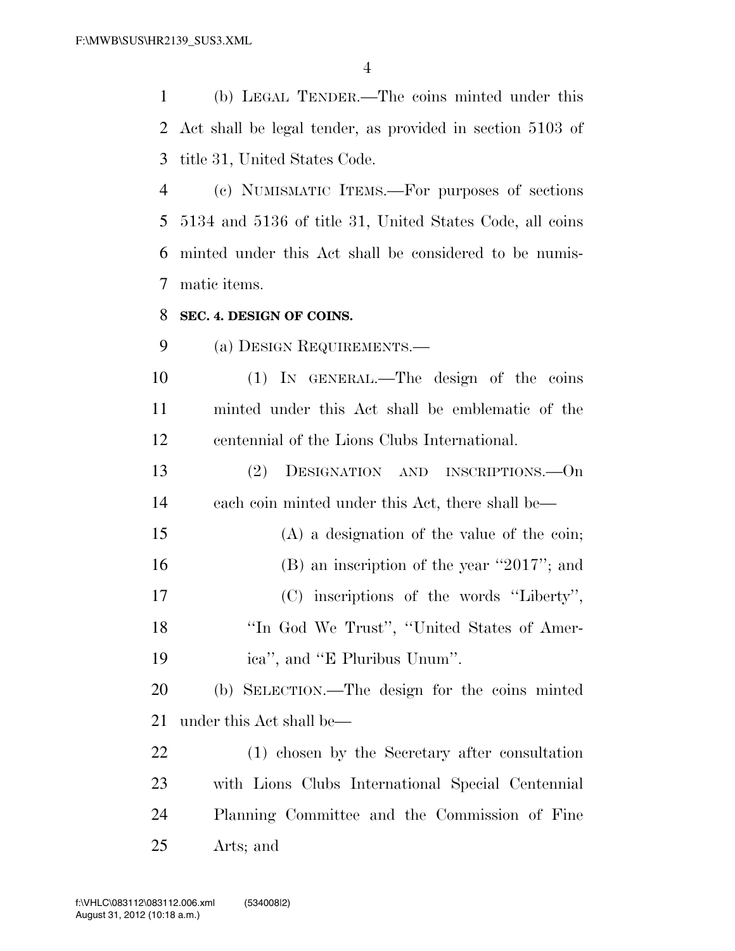(b) LEGAL TENDER.—The coins minted under this Act shall be legal tender, as provided in section 5103 of title 31, United States Code.

 (c) NUMISMATIC ITEMS.—For purposes of sections 5134 and 5136 of title 31, United States Code, all coins minted under this Act shall be considered to be numis-matic items.

### **SEC. 4. DESIGN OF COINS.**

(a) DESIGN REQUIREMENTS.—

 (1) IN GENERAL.—The design of the coins minted under this Act shall be emblematic of the centennial of the Lions Clubs International.

 (2) DESIGNATION AND INSCRIPTIONS.—On each coin minted under this Act, there shall be—

 (A) a designation of the value of the coin; 16 (B) an inscription of the year "2017"; and (C) inscriptions of the words ''Liberty'', ''In God We Trust'', ''United States of Amer-ica'', and ''E Pluribus Unum''.

 (b) SELECTION.—The design for the coins minted under this Act shall be—

 (1) chosen by the Secretary after consultation with Lions Clubs International Special Centennial Planning Committee and the Commission of Fine Arts; and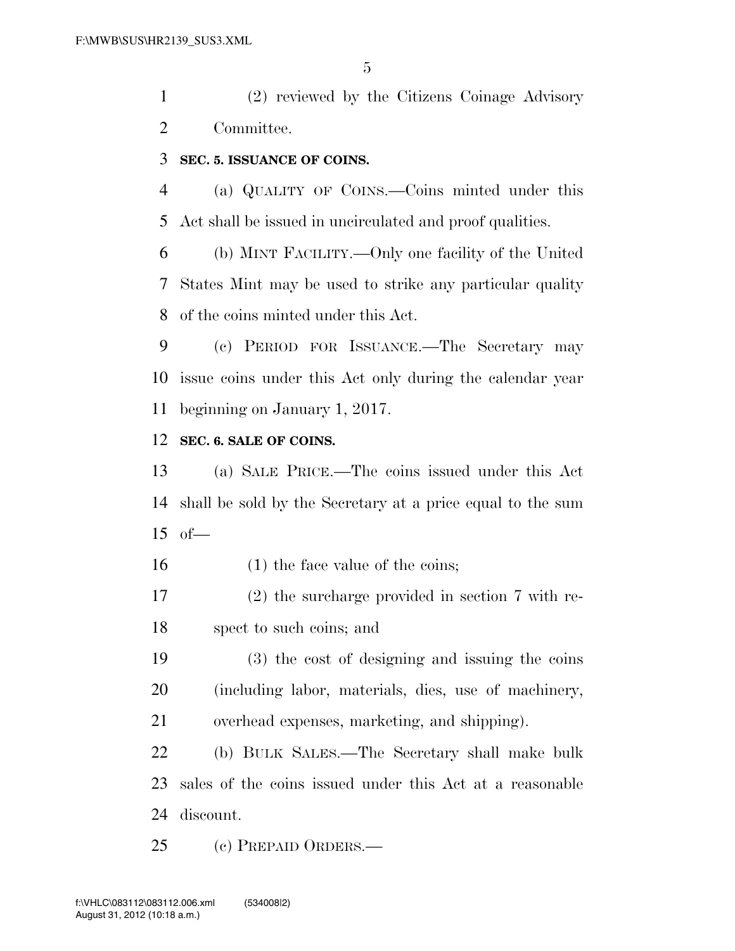(2) reviewed by the Citizens Coinage Advisory Committee.

## **SEC. 5. ISSUANCE OF COINS.**

 (a) QUALITY OF COINS.—Coins minted under this Act shall be issued in uncirculated and proof qualities.

 (b) MINT FACILITY.—Only one facility of the United States Mint may be used to strike any particular quality of the coins minted under this Act.

 (c) PERIOD FOR ISSUANCE.—The Secretary may issue coins under this Act only during the calendar year beginning on January 1, 2017.

## **SEC. 6. SALE OF COINS.**

 (a) SALE PRICE.—The coins issued under this Act shall be sold by the Secretary at a price equal to the sum of—

16 (1) the face value of the coins;

 (2) the surcharge provided in section 7 with re-spect to such coins; and

 (3) the cost of designing and issuing the coins (including labor, materials, dies, use of machinery, overhead expenses, marketing, and shipping).

 (b) BULK SALES.—The Secretary shall make bulk sales of the coins issued under this Act at a reasonable discount.

(c) PREPAID ORDERS.—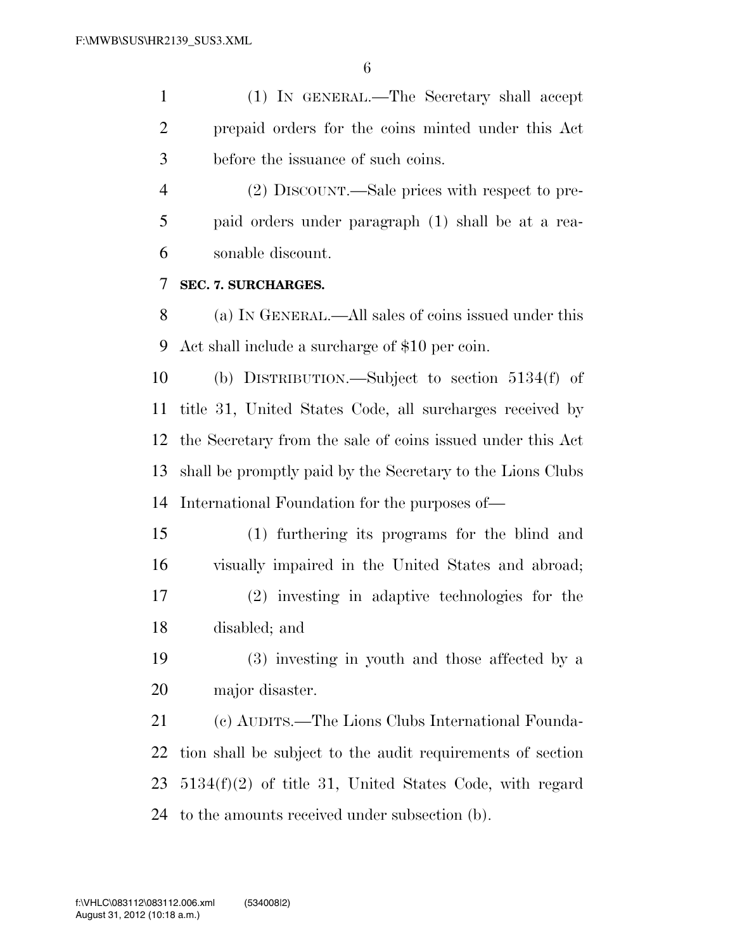(1) IN GENERAL.—The Secretary shall accept prepaid orders for the coins minted under this Act before the issuance of such coins.

 (2) DISCOUNT.—Sale prices with respect to pre- paid orders under paragraph (1) shall be at a rea-sonable discount.

## **SEC. 7. SURCHARGES.**

 (a) IN GENERAL.—All sales of coins issued under this Act shall include a surcharge of \$10 per coin.

 (b) DISTRIBUTION.—Subject to section 5134(f) of title 31, United States Code, all surcharges received by the Secretary from the sale of coins issued under this Act shall be promptly paid by the Secretary to the Lions Clubs International Foundation for the purposes of—

 (1) furthering its programs for the blind and visually impaired in the United States and abroad; (2) investing in adaptive technologies for the disabled; and

 (3) investing in youth and those affected by a major disaster.

 (c) AUDITS.—The Lions Clubs International Founda- tion shall be subject to the audit requirements of section 5134(f)(2) of title 31, United States Code, with regard to the amounts received under subsection (b).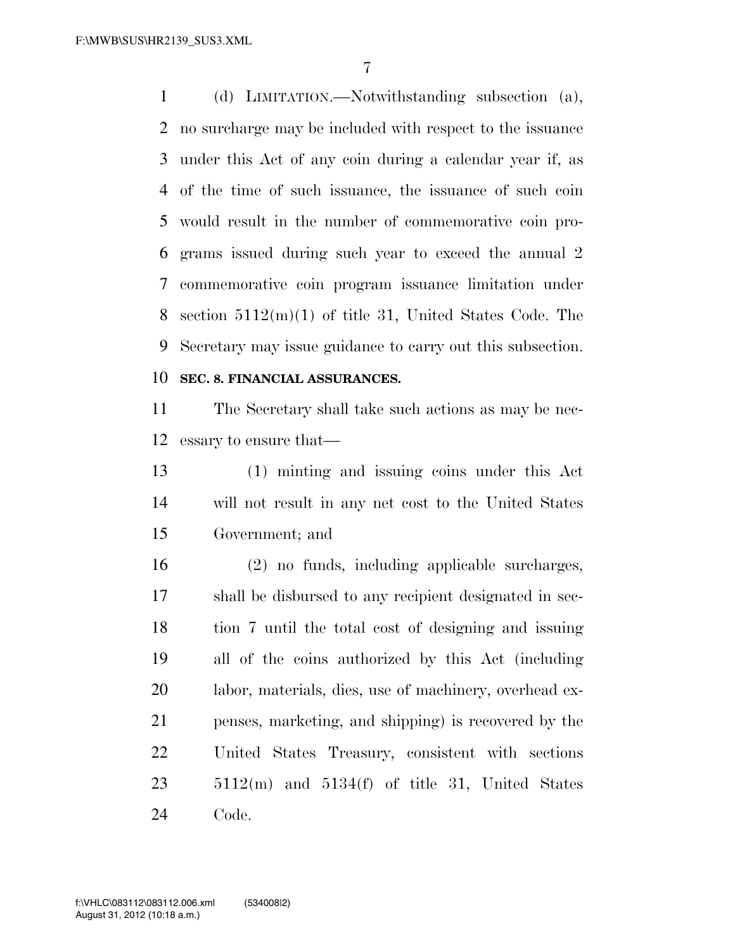(d) LIMITATION.—Notwithstanding subsection (a), no surcharge may be included with respect to the issuance under this Act of any coin during a calendar year if, as of the time of such issuance, the issuance of such coin would result in the number of commemorative coin pro- grams issued during such year to exceed the annual 2 commemorative coin program issuance limitation under section 5112(m)(1) of title 31, United States Code. The Secretary may issue guidance to carry out this subsection.

# **SEC. 8. FINANCIAL ASSURANCES.**

 The Secretary shall take such actions as may be nec-essary to ensure that—

 (1) minting and issuing coins under this Act will not result in any net cost to the United States Government; and

 (2) no funds, including applicable surcharges, shall be disbursed to any recipient designated in sec- tion 7 until the total cost of designing and issuing all of the coins authorized by this Act (including labor, materials, dies, use of machinery, overhead ex- penses, marketing, and shipping) is recovered by the United States Treasury, consistent with sections 5112(m) and 5134(f) of title 31, United States Code.